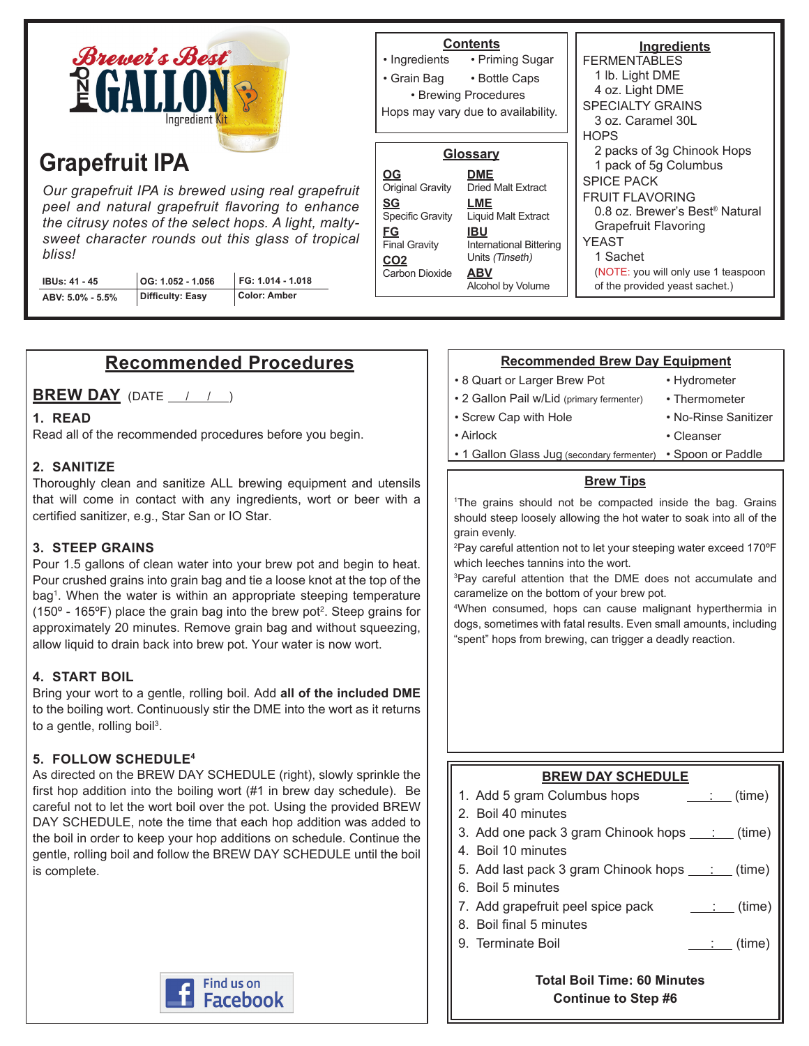

# **Grapefruit IPA**

*Our grapefruit IPA is brewed using real grapefruit peel and natural grapefruit flavoring to enhance the citrusy notes of the select hops. A light, maltysweet character rounds out this glass of tropical bliss!*

| IBUs: 41 - 45    | $\vert$ OG: 1.052 - 1.056 | FG: 1.014 - 1.018 |
|------------------|---------------------------|-------------------|
| ABV: 5.0% - 5.5% | Difficulty: Easy          | Color: Amber      |

|                                                                                                                                   | <b>Contents</b><br>• Ingredients • Priming Sugar<br>• Grain Bag • Bottle Caps<br>• Brewing Procedures<br>Hops may vary due to availability.                                                    | <b>Ingredients</b><br>FFRMENTABLES<br>1 lb. Light DME<br>4 oz. Light DME<br><b>SPECIALTY GRAINS</b><br>3 oz. Caramel 30L<br><b>HOPS</b><br>2 packs of 3g Chinook Hops                                                                           |
|-----------------------------------------------------------------------------------------------------------------------------------|------------------------------------------------------------------------------------------------------------------------------------------------------------------------------------------------|-------------------------------------------------------------------------------------------------------------------------------------------------------------------------------------------------------------------------------------------------|
| <b>OG</b><br>Original Gravity<br>SG<br><b>Specific Gravity</b><br>FG<br><b>Final Gravity</b><br>CO <sub>2</sub><br>Carbon Dioxide | <u>Glossary</u><br><b>DME</b><br><b>Dried Malt Extract</b><br>LME<br><b>Liquid Malt Extract</b><br>IBU<br><b>International Bittering</b><br>Units (Tinseth)<br><b>ABV</b><br>Alcohol by Volume | 1 pack of 5g Columbus<br><b>SPICE PACK</b><br><b>FRUIT FLAVORING</b><br>0.8 oz. Brewer's Best <sup>®</sup> Natural<br><b>Grapefruit Flavoring</b><br>YFAST<br>1 Sachet<br>(NOTE: you will only use 1 teaspoon<br>of the provided yeast sachet.) |

# **Recommended Procedures**

**BREW DAY** (DATE  $\left( \begin{array}{ccc} 1 & 1 \end{array} \right)$ 

### **1. READ**

Read all of the recommended procedures before you begin.

## **2. SANITIZE**

Thoroughly clean and sanitize ALL brewing equipment and utensils that will come in contact with any ingredients, wort or beer with a certified sanitizer, e.g., Star San or IO Star.

### **3. STEEP GRAINS**

Pour 1.5 gallons of clean water into your brew pot and begin to heat. Pour crushed grains into grain bag and tie a loose knot at the top of the bag1 . When the water is within an appropriate steeping temperature (150 $\textdegree$  - 165 $\textdegree$ F) place the grain bag into the brew pot<sup>2</sup>. Steep grains for approximately 20 minutes. Remove grain bag and without squeezing, allow liquid to drain back into brew pot. Your water is now wort.

### **4. START BOIL**

Bring your wort to a gentle, rolling boil. Add **all of the included DME** to the boiling wort. Continuously stir the DME into the wort as it returns to a gentle, rolling boil<sup>3</sup>.

# **5. FOLLOW SCHEDULE4**

As directed on the BREW DAY SCHEDULE (right), slowly sprinkle the first hop addition into the boiling wort (#1 in brew day schedule). Be careful not to let the wort boil over the pot. Using the provided BREW DAY SCHEDULE, note the time that each hop addition was added to the boil in order to keep your hop additions on schedule. Continue the gentle, rolling boil and follow the BREW DAY SCHEDULE until the boil is complete.



### **Recommended Brew Day Equipment**

• 8 Quart or Larger Brew Pot

• Screw Cap with Hole

- Hydrometer
- 2 Gallon Pail w/Lid (primary fermenter)
- Thermometer
- No-Rinse Sanitizer • Cleanser
- Airlock
	- 1 Gallon Glass Jug (secondary fermenter) Spoon or Paddle

#### **Brew Tips**

1 The grains should not be compacted inside the bag. Grains should steep loosely allowing the hot water to soak into all of the grain evenly.

2 Pay careful attention not to let your steeping water exceed 170ºF which leeches tannins into the wort.

3 Pay careful attention that the DME does not accumulate and caramelize on the bottom of your brew pot.

4 When consumed, hops can cause malignant hyperthermia in dogs, sometimes with fatal results. Even small amounts, including "spent" hops from brewing, can trigger a deadly reaction.

# **BREW DAY SCHEDULE**

1. Add 5 gram Columbus hops  $\qquad \qquad$  : (time)

- 2. Boil 40 minutes
- 3. Add one pack 3 gram Chinook hops  $\frac{\cdot}{\cdot}$  (time)
- 4. Boil 10 minutes
- 5. Add last pack 3 gram Chinook hops  $\frac{\cdot}{\cdot}$  (time)
- 6. Boil 5 minutes
- 7. Add grapefruit peel spice pack  $\qquad \qquad \qquad$  (time)
- 8. Boil final 5 minutes
- 9. Terminate Boil  $\qquad \qquad \qquad \qquad$  (time)

 **Total Boil Time: 60 Minutes Continue to Step #6**